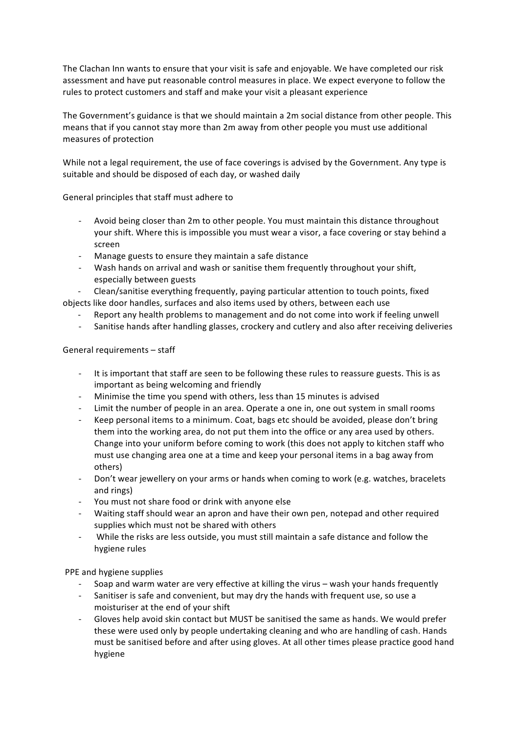The Clachan Inn wants to ensure that your visit is safe and enjoyable. We have completed our risk assessment and have put reasonable control measures in place. We expect everyone to follow the rules to protect customers and staff and make your visit a pleasant experience

The Government's guidance is that we should maintain a 2m social distance from other people. This means that if you cannot stay more than 2m away from other people you must use additional measures of protection

While not a legal requirement, the use of face coverings is advised by the Government. Any type is suitable and should be disposed of each day, or washed daily

General principles that staff must adhere to

- Avoid being closer than 2m to other people. You must maintain this distance throughout your shift. Where this is impossible you must wear a visor, a face covering or stay behind a screen
- Manage guests to ensure they maintain a safe distance
- Wash hands on arrival and wash or sanitise them frequently throughout your shift, especially between guests

Clean/sanitise everything frequently, paying particular attention to touch points, fixed objects like door handles, surfaces and also items used by others, between each use

- Report any health problems to management and do not come into work if feeling unwell
- Sanitise hands after handling glasses, crockery and cutlery and also after receiving deliveries

General requirements - staff

- It is important that staff are seen to be following these rules to reassure guests. This is as important as being welcoming and friendly
- Minimise the time you spend with others, less than 15 minutes is advised
- Limit the number of people in an area. Operate a one in, one out system in small rooms
- Keep personal items to a minimum. Coat, bags etc should be avoided, please don't bring them into the working area, do not put them into the office or any area used by others. Change into your uniform before coming to work (this does not apply to kitchen staff who must use changing area one at a time and keep your personal items in a bag away from others)
- Don't wear jewellery on your arms or hands when coming to work (e.g. watches, bracelets and rings)
- You must not share food or drink with anyone else
- Waiting staff should wear an apron and have their own pen, notepad and other required supplies which must not be shared with others
- While the risks are less outside, you must still maintain a safe distance and follow the hygiene rules

PPE and hygiene supplies

- Soap and warm water are very effective at killing the virus wash your hands frequently
- Sanitiser is safe and convenient, but may dry the hands with frequent use, so use a moisturiser at the end of your shift
- Gloves help avoid skin contact but MUST be sanitised the same as hands. We would prefer these were used only by people undertaking cleaning and who are handling of cash. Hands must be sanitised before and after using gloves. At all other times please practice good hand hygiene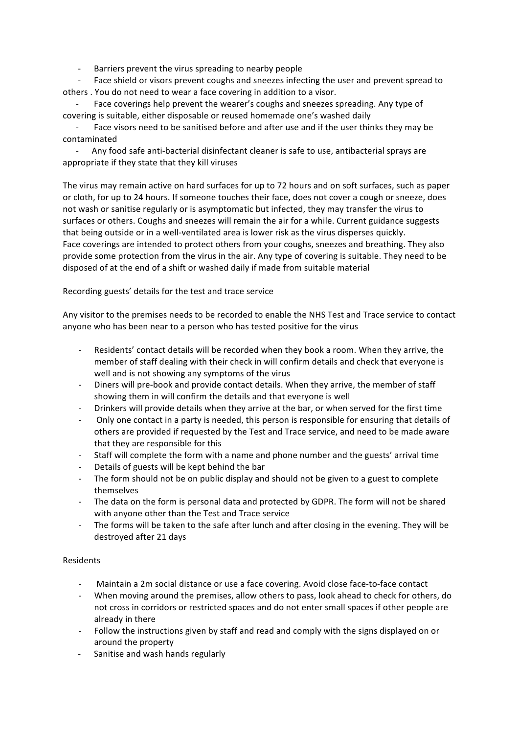- Barriers prevent the virus spreading to nearby people

Face shield or visors prevent coughs and sneezes infecting the user and prevent spread to others . You do not need to wear a face covering in addition to a visor.

Face coverings help prevent the wearer's coughs and sneezes spreading. Any type of covering is suitable, either disposable or reused homemade one's washed daily

Face visors need to be sanitised before and after use and if the user thinks they may be contaminated

Any food safe anti-bacterial disinfectant cleaner is safe to use, antibacterial sprays are appropriate if they state that they kill viruses

The virus may remain active on hard surfaces for up to 72 hours and on soft surfaces, such as paper or cloth, for up to 24 hours. If someone touches their face, does not cover a cough or sneeze, does not wash or sanitise regularly or is asymptomatic but infected, they may transfer the virus to surfaces or others. Coughs and sneezes will remain the air for a while. Current guidance suggests that being outside or in a well-ventilated area is lower risk as the virus disperses quickly. Face coverings are intended to protect others from your coughs, sneezes and breathing. They also provide some protection from the virus in the air. Any type of covering is suitable. They need to be disposed of at the end of a shift or washed daily if made from suitable material

## Recording guests' details for the test and trace service

Any visitor to the premises needs to be recorded to enable the NHS Test and Trace service to contact anyone who has been near to a person who has tested positive for the virus

- Residents' contact details will be recorded when they book a room. When they arrive, the member of staff dealing with their check in will confirm details and check that everyone is well and is not showing any symptoms of the virus
- Diners will pre-book and provide contact details. When they arrive, the member of staff showing them in will confirm the details and that everyone is well
- Drinkers will provide details when they arrive at the bar, or when served for the first time
- Only one contact in a party is needed, this person is responsible for ensuring that details of others are provided if requested by the Test and Trace service, and need to be made aware that they are responsible for this
- Staff will complete the form with a name and phone number and the guests' arrival time
- Details of guests will be kept behind the bar
- The form should not be on public display and should not be given to a guest to complete themselves
- The data on the form is personal data and protected by GDPR. The form will not be shared with anyone other than the Test and Trace service
- The forms will be taken to the safe after lunch and after closing in the evening. They will be destroyed after 21 days

## Residents

- Maintain a 2m social distance or use a face covering. Avoid close face-to-face contact
- When moving around the premises, allow others to pass, look ahead to check for others, do not cross in corridors or restricted spaces and do not enter small spaces if other people are already in there
- Follow the instructions given by staff and read and comply with the signs displayed on or around the property
- Sanitise and wash hands regularly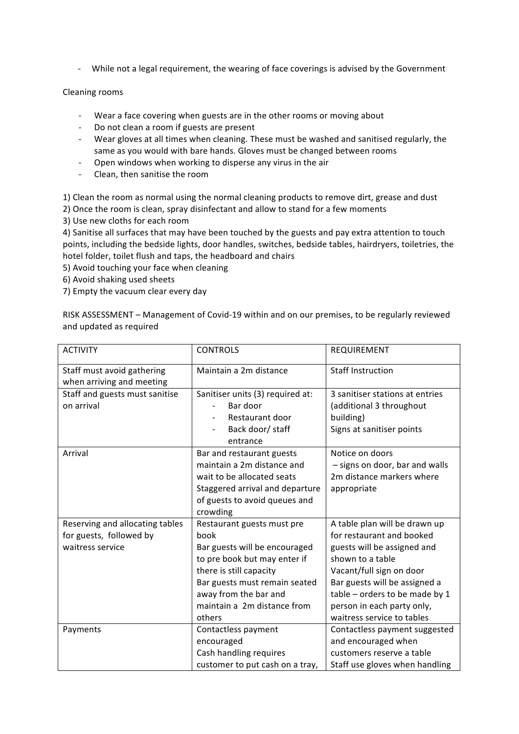- While not a legal requirement, the wearing of face coverings is advised by the Government

## Cleaning rooms

- Wear a face covering when guests are in the other rooms or moving about
- Do not clean a room if guests are present
- Wear gloves at all times when cleaning. These must be washed and sanitised regularly, the same as you would with bare hands. Gloves must be changed between rooms
- Open windows when working to disperse any virus in the air
- Clean, then sanitise the room

1) Clean the room as normal using the normal cleaning products to remove dirt, grease and dust

2) Once the room is clean, spray disinfectant and allow to stand for a few moments

3) Use new cloths for each room

4) Sanitise all surfaces that may have been touched by the guests and pay extra attention to touch points, including the bedside lights, door handles, switches, bedside tables, hairdryers, toiletries, the hotel folder, toilet flush and taps, the headboard and chairs

5) Avoid touching your face when cleaning

6) Avoid shaking used sheets

7) Empty the vacuum clear every day

RISK ASSESSMENT - Management of Covid-19 within and on our premises, to be regularly reviewed and updated as required

| <b>ACTIVITY</b>                 | <b>CONTROLS</b>                  | REQUIREMENT                     |
|---------------------------------|----------------------------------|---------------------------------|
| Staff must avoid gathering      | Maintain a 2m distance           | <b>Staff Instruction</b>        |
| when arriving and meeting       |                                  |                                 |
| Staff and guests must sanitise  | Sanitiser units (3) required at: | 3 sanitiser stations at entries |
| on arrival                      | Bar door                         | (additional 3 throughout        |
|                                 | Restaurant door                  | building)                       |
|                                 | Back door/ staff                 | Signs at sanitiser points       |
|                                 | entrance                         |                                 |
| Arrival                         | Bar and restaurant guests        | Notice on doors                 |
|                                 | maintain a 2m distance and       | - signs on door, bar and walls  |
|                                 | wait to be allocated seats       | 2m distance markers where       |
|                                 | Staggered arrival and departure  | appropriate                     |
|                                 | of guests to avoid queues and    |                                 |
|                                 | crowding                         |                                 |
| Reserving and allocating tables | Restaurant guests must pre       | A table plan will be drawn up   |
| for guests, followed by         | book                             | for restaurant and booked       |
| waitress service                | Bar guests will be encouraged    | guests will be assigned and     |
|                                 | to pre book but may enter if     | shown to a table                |
|                                 | there is still capacity          | Vacant/full sign on door        |
|                                 | Bar guests must remain seated    | Bar guests will be assigned a   |
|                                 | away from the bar and            | table - orders to be made by 1  |
|                                 | maintain a 2m distance from      | person in each party only,      |
|                                 | others                           | waitress service to tables      |
| Payments                        | Contactless payment              | Contactless payment suggested   |
|                                 | encouraged                       | and encouraged when             |
|                                 |                                  |                                 |
|                                 | Cash handling requires           | customers reserve a table       |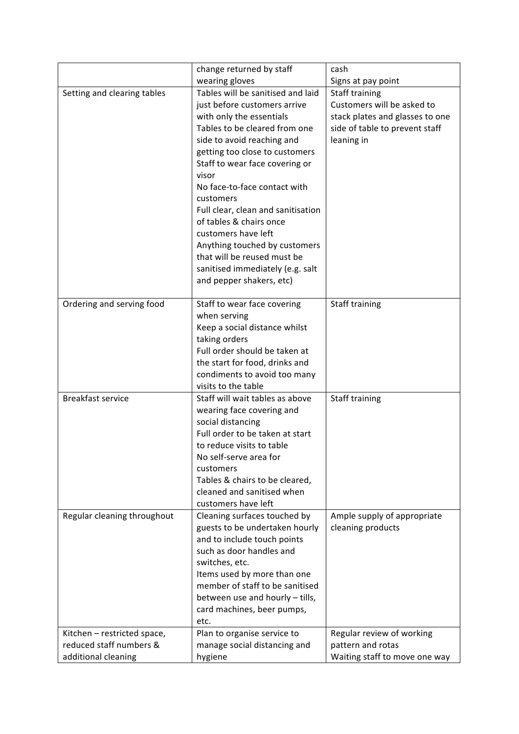|                             | change returned by staff                       | cash                            |
|-----------------------------|------------------------------------------------|---------------------------------|
|                             | wearing gloves                                 | Signs at pay point              |
| Setting and clearing tables | Tables will be sanitised and laid              | <b>Staff training</b>           |
|                             | just before customers arrive                   | Customers will be asked to      |
|                             | with only the essentials                       | stack plates and glasses to one |
|                             | Tables to be cleared from one                  | side of table to prevent staff  |
|                             | side to avoid reaching and                     | leaning in                      |
|                             | getting too close to customers                 |                                 |
|                             | Staff to wear face covering or                 |                                 |
|                             | visor                                          |                                 |
|                             | No face-to-face contact with                   |                                 |
|                             | customers                                      |                                 |
|                             | Full clear, clean and sanitisation             |                                 |
|                             | of tables & chairs once                        |                                 |
|                             | customers have left                            |                                 |
|                             | Anything touched by customers                  |                                 |
|                             | that will be reused must be                    |                                 |
|                             | sanitised immediately (e.g. salt               |                                 |
|                             |                                                |                                 |
|                             | and pepper shakers, etc)                       |                                 |
| Ordering and serving food   | Staff to wear face covering                    | Staff training                  |
|                             | when serving                                   |                                 |
|                             | Keep a social distance whilst                  |                                 |
|                             |                                                |                                 |
|                             | taking orders<br>Full order should be taken at |                                 |
|                             |                                                |                                 |
|                             | the start for food, drinks and                 |                                 |
|                             | condiments to avoid too many                   |                                 |
|                             | visits to the table                            |                                 |
| <b>Breakfast service</b>    | Staff will wait tables as above                | Staff training                  |
|                             | wearing face covering and                      |                                 |
|                             | social distancing                              |                                 |
|                             | Full order to be taken at start                |                                 |
|                             | to reduce visits to table                      |                                 |
|                             | No self-serve area for                         |                                 |
|                             | customers                                      |                                 |
|                             | Tables & chairs to be cleared,                 |                                 |
|                             | cleaned and sanitised when                     |                                 |
|                             | customers have left                            |                                 |
| Regular cleaning throughout | Cleaning surfaces touched by                   | Ample supply of appropriate     |
|                             | guests to be undertaken hourly                 | cleaning products               |
|                             | and to include touch points                    |                                 |
|                             | such as door handles and                       |                                 |
|                             | switches, etc.                                 |                                 |
|                             | Items used by more than one                    |                                 |
|                             | member of staff to be sanitised                |                                 |
|                             | between use and hourly - tills,                |                                 |
|                             | card machines, beer pumps,                     |                                 |
|                             | etc.                                           |                                 |
| Kitchen - restricted space, | Plan to organise service to                    | Regular review of working       |
| reduced staff numbers &     | manage social distancing and                   | pattern and rotas               |
| additional cleaning         | hygiene                                        | Waiting staff to move one way   |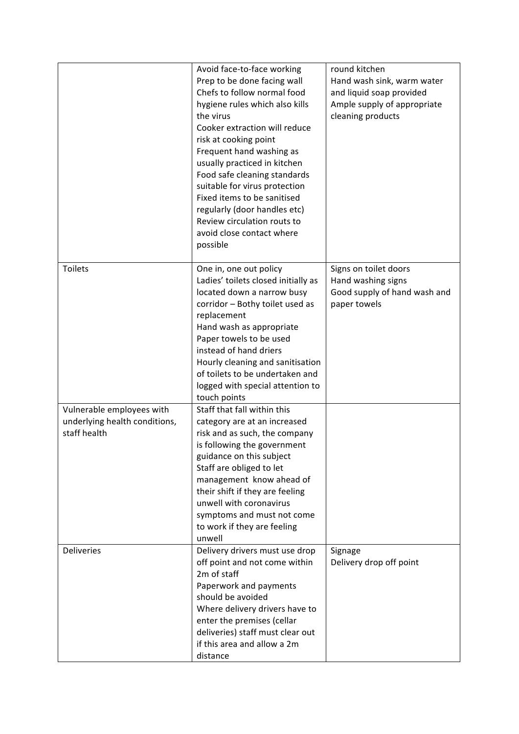|                                                                            | Avoid face-to-face working<br>Prep to be done facing wall<br>Chefs to follow normal food<br>hygiene rules which also kills<br>the virus<br>Cooker extraction will reduce<br>risk at cooking point<br>Frequent hand washing as<br>usually practiced in kitchen<br>Food safe cleaning standards<br>suitable for virus protection                            | round kitchen<br>Hand wash sink, warm water<br>and liquid soap provided<br>Ample supply of appropriate<br>cleaning products |
|----------------------------------------------------------------------------|-----------------------------------------------------------------------------------------------------------------------------------------------------------------------------------------------------------------------------------------------------------------------------------------------------------------------------------------------------------|-----------------------------------------------------------------------------------------------------------------------------|
|                                                                            | Fixed items to be sanitised<br>regularly (door handles etc)<br>Review circulation routs to<br>avoid close contact where<br>possible                                                                                                                                                                                                                       |                                                                                                                             |
| <b>Toilets</b>                                                             | One in, one out policy<br>Ladies' toilets closed initially as<br>located down a narrow busy<br>corridor - Bothy toilet used as<br>replacement<br>Hand wash as appropriate<br>Paper towels to be used<br>instead of hand driers<br>Hourly cleaning and sanitisation<br>of toilets to be undertaken and<br>logged with special attention to<br>touch points | Signs on toilet doors<br>Hand washing signs<br>Good supply of hand wash and<br>paper towels                                 |
| Vulnerable employees with<br>underlying health conditions,<br>staff health | Staff that fall within this<br>category are at an increased<br>risk and as such, the company<br>is following the government<br>guidance on this subject<br>Staff are obliged to let<br>management know ahead of<br>their shift if they are feeling<br>unwell with coronavirus<br>symptoms and must not come<br>to work if they are feeling<br>unwell      |                                                                                                                             |
| <b>Deliveries</b>                                                          | Delivery drivers must use drop<br>off point and not come within<br>2m of staff<br>Paperwork and payments<br>should be avoided<br>Where delivery drivers have to<br>enter the premises (cellar<br>deliveries) staff must clear out<br>if this area and allow a 2m<br>distance                                                                              | Signage<br>Delivery drop off point                                                                                          |